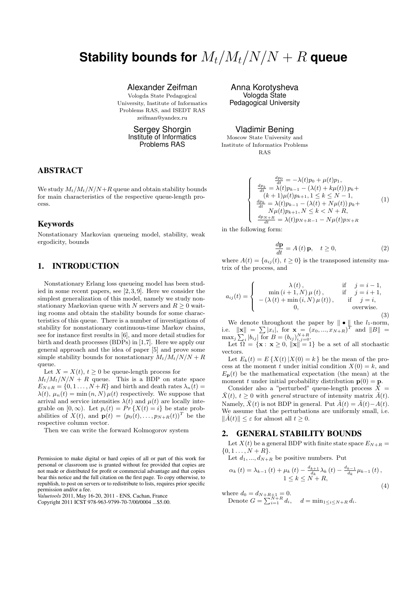# **Stability bounds for**  $M_t/M_t/N/N + R$  queue

Alexander Zeifman

Vologda State Pedagogical University, Institute of Informatics Problems RAS, and ISEDT RAS zeifman@yandex.ru

> Sergey Shorgin Institute of Informatics Problems RAS

## ABSTRACT

We study  $M_t/M_t/N/N+R$  queue and obtain stability bounds for main characteristics of the respective queue-length process.

## Keywords

Nonstationary Markovian queueing model, stability, weak ergodicity, bounds

# 1. INTRODUCTION

Nonstationary Erlang loss queueing model has been studied in some recent papers, see [2, 3, 9]. Here we consider the simplest generalization of this model, namely we study nonstationary Markovian queue with N servers and  $R \geq 0$  waiting rooms and obtain the stability bounds for some characteristics of this queue. There is a number of investigations of stability for nonstationary continuous-time Markov chains, see for instance first results in [6], and more detail studies for birth and death processes (BDPs) in [1,7]. Here we apply our general approach and the idea of paper [5] and prove some simple stability bounds for nonstationary  $M_t/M_t/N/N + R$ queue.

Let  $X = X(t)$ ,  $t \geq 0$  be queue-length process for

 $M_t/M_t/N/N + R$  queue. This is a BDP on state space  $E_{N+R} = \{0, 1, \ldots, N+R\}$  and birth and death rates  $\lambda_n(t) =$  $\lambda(t)$ ,  $\mu_n(t) = \min(n, N) \mu(t)$  respectively. We suppose that arrival and service intensities  $\lambda(t)$  and  $\mu(t)$  are locally integrable on  $[0, \infty)$ . Let  $p_i(t) = Pr\{X(t) = i\}$  be state probabilities of  $X(t)$ , and  $\mathbf{p}(t) = (p_0(t), \ldots, p_{N+R}(t))^T$  be the respective column vector.

Then we can write the forward Kolmogorov system

Permission to make digital or hard copies of all or part of this work for personal or classroom use is granted without fee provided that copies are not made or distributed for profit or commercial advantage and that copies bear this notice and the full citation on the first page. To copy otherwise, to republish, to post on servers or to redistribute to lists, requires prior specific permission and/or a fee.

*Valuetools* 2011, May 16-20, 2011 - ENS, Cachan, France

Anna Korotysheva Vologda State Pedagogical University

Vladimir Bening

Moscow State University and Institute of Informatics Problems RAS

$$
\frac{dp_0}{dt} = -\lambda(t)p_0 + \mu(t)p_1, \n\frac{dp_k}{dt} = \lambda(t)p_{k-1} - (\lambda(t) + k\mu(t))p_k + (k+1)\mu(t)p_{k+1}, 1 \le k \le N-1, \n\frac{dp_k}{dt} = \lambda(t)p_{k-1} - (\lambda(t) + N\mu(t))p_k + \nN\mu(t)p_{k+1}, N \le k < N + R, \n\frac{dp_{N+R}}{dt} = \lambda(t)p_{N+R-1} - N\mu(t)p_{N+R}
$$
\n(1)

in the following form:

 $\overline{\mathcal{L}}$ 

 $\sqrt{ }$  $\int$ 

$$
\frac{d\mathbf{p}}{dt} = A(t)\mathbf{p}, \quad t \ge 0,
$$
\n(2)

where  $A(t) = \{a_{ij}(t), t \ge 0\}$  is the transposed intensity matrix of the process, and

$$
a_{ij}(t) = \begin{cases} \lambda(t), & \text{if } j = i - 1, \\ -(\lambda(t) + \min(i, N) \mu(t)), & \text{if } j = i + 1, \\ -(\lambda(t) + \min(i, N) \mu(t)), & \text{if } j = i, \\ 0, & \text{overwise.} \end{cases}
$$
(3)

We denote throughout the paper by  $\|\bullet\|$  the *l*<sub>1</sub>-norm, i.e.  $\|\mathbf{x}\| = \sum |x_i|$ , for  $\mathbf{x} = (x_0, ..., x_{N+R})^T$  and  $\|B\|$  =  $\max_j \sum_i |b_{ij}|$  for  $B = (b_{ij})_{i,j=0}^{N+R}$ .

Let  $\Omega = {\mathbf{x} : \mathbf{x} \geq 0, ||\mathbf{x}|| = 1}$  be a set of all stochastic vectors.

Let  $E_k(t) = E\left\{X(t) | X(0) = k\right\}$  be the mean of the process at the moment t under initial condition  $X(0) = k$ , and  $E_{\mathbf{p}}(t)$  be the mathematical expectation (the mean) at the moment t under initial probability distribution  $p(0) = p$ .

Consider also a "perturbed" queue-length process  $\bar{\bar{X}}$  =  $\bar{X}(t)$ ,  $t \geq 0$  with *general* structure of intensity matrix  $\bar{A}(t)$ . Namely,  $\bar{X}(t)$  is not BDP in general. Put  $\hat{A}(t) = \bar{A}(t) - A(t)$ . We assume that the perturbations are uniformly small, i.e.  $\|\hat{A}(t)\| \leq \varepsilon$  for almost all  $t \geq 0$ .

## 2. GENERAL STABILITY BOUNDS

Let  $X(t)$  be a general BDP with finite state space  $E_{N+R}$  =  $\{0, 1, \ldots, N + R\}.$ 

Let  $d_1, ..., d_{N+R}$  be positive numbers. Put

$$
\alpha_{k}(t) = \lambda_{k-1}(t) + \mu_{k}(t) - \frac{d_{k+1}}{d_{k}} \lambda_{k}(t) - \frac{d_{k-1}}{d_{k}} \mu_{k-1}(t),
$$
  
 
$$
1 \leq k \leq N + R,
$$
 (4)

where  $d_0 = d_{N+R+1} = 0$ . Denote  $G = \sum_{i=1}^{N+R}$  $d=\min_{1 \leq i \leq N+R} d_i$ .

Copyright 2011 ICST 978-963-9799-70-7/00/0004 ...\$5.00.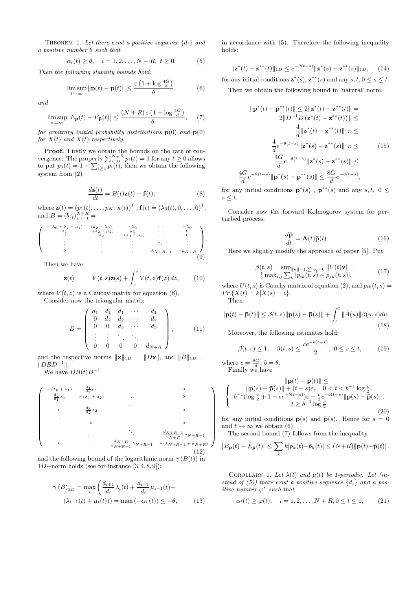THEOREM 1. Let there exist a positive sequence  $\{d_i\}$  and a positive number  $\theta$  such that

$$
\alpha_i(t) \geq \theta, \quad i = 1, 2, \dots, N + R, \ t \geq 0. \tag{5}
$$

Then the following stability bounds hold:

$$
\limsup_{t \to \infty} \|\mathbf{p}(t) - \bar{\mathbf{p}}(t)\| \le \frac{\varepsilon \left(1 + \log \frac{4G}{d}\right)}{\theta},\tag{6}
$$

and

$$
\limsup_{t \to \infty} \left| E_{\mathbf{p}}(t) - \bar{E}_{\bar{\mathbf{p}}}(t) \right| \le \frac{(N+R)\,\varepsilon \left(1 + \log \frac{4G}{d}\right)}{\theta},\tag{7}
$$

for arbitrary initial probability distributions  $p(0)$  and  $\bar{p}(0)$ for  $X(t)$  and  $\bar{X}(t)$  respectively.

**Proof.** Firstly we obtain the bounds on the rate of convergence. The property  $\sum_{i=0}^{N+R} p_i(t) = 1$  for any  $t \ge 0$  allows to put  $p_0(t) = 1 - \sum_{i \geq 1} p_i(t)$ , then we obtain the following system from (2)

$$
\frac{d\mathbf{z}(t)}{dt} = B(t)\mathbf{z}(t) + \mathbf{f}(t),\tag{8}
$$

where  $\mathbf{z}(t) = (p_1(t), \ldots, p_{N+R}(t))^T$  ,  $\mathbf{f}(t) = (\lambda_0(t), 0, \ldots, 0)^T$ , and  $B = (b_{ij})_{i,j=1}^{N+R} =$ 

$$
\begin{pmatrix}\n-(\lambda_0 + \lambda_1 + \mu_1) & (\mu_2 - \lambda_0) & -\lambda_0 & \cdots & -\lambda_0 \\
\lambda_1 & -(\lambda_2 + \mu_2) & -\mu_3 & \cdots & 0 \\
\vdots & \vdots & \vdots & \ddots & \vdots \\
\vdots & \vdots & \vdots & \ddots & \vdots \\
0 & \cdots & \lambda_{N+R-1} & -\mu_{N+R}\n\end{pmatrix}.
$$
\n(9)

Then we have

$$
\mathbf{z}(t) = V(t,s)\mathbf{z}(s) + \int_{s}^{t} V(t,z)\mathbf{f}(z) dz, \qquad (10)
$$

where  $V(t, z)$  is a Cauchy matrix for equation (8).

Consider now the triangular matrix

$$
D = \left(\begin{array}{cccc} d_1 & d_1 & d_1 & \cdots & d_1 \\ 0 & d_2 & d_2 & \cdots & d_2 \\ 0 & 0 & d_3 & \cdots & d_3 \\ \vdots & \vdots & \ddots & \vdots & \vdots \\ 0 & 0 & 0 & 0 & d_{N+R} \end{array}\right), \quad (11)
$$

and the respective norms  $\|\mathbf{x}\|_{1D} = \|D\mathbf{x}\|$ , and  $\|B\|_{1D} =$  $||DBD^{-1}||.$ 

We have  $DB(t)D^{-1} =$ 

$$
\begin{pmatrix}\n-(\lambda_0 + \mu_1) & \frac{d_1}{d_2} \mu_1 & \cdots & 0 \\
\frac{d_2}{d_1} \lambda_1 & -(\lambda_1 + \mu_2) & \cdots & 0 \\
0 & \frac{d_3}{d_2} \lambda_2 & \ddots & 0 \\
\vdots & 0 & \ddots & \ddots & \frac{d_N + R - 1}{d_N + R} \mu_N + R - 1 \\
0 & \cdots & \frac{d_N + R}{d_N + R - 1} \lambda_{N + R - 1} & -(\lambda_N + R - 1 + \mu_N + R)\n\end{pmatrix}
$$
\n(12)

and the following bound of the logarithmic norm  $\gamma(B(t))$  in 1D−norm holds (see for instance [3, 4, 8, 9]):

$$
\gamma(B)_{1D} = \max_{i} \left( \frac{d_{i+1}}{d_i} \lambda_i(t) + \frac{d_{i-1}}{d_i} \mu_{i-1}(t) - \lambda_{i-1}(t) + \mu_i(t) \right) = \max(-\alpha_i(t)) \le -\theta,
$$
 (13)

in accordance with (5). Therefore the following inequality holds:

$$
\|\mathbf{z}^*(t) - \mathbf{z}^{**}(t)\|_{1D} \le e^{-\theta(t-s)} \|\mathbf{z}^*(s) - \mathbf{z}^{**}(s)\|_{1D}, \quad (14)
$$

for any initial conditions  $\mathbf{z}^*(s)$ ,  $\mathbf{z}^{**}(s)$  and any  $s, t, 0 \le s \le t$ .

Then we obtain the following bound in 'natural' norm:

$$
\|\mathbf{p}^*(t) - \mathbf{p}^{**}(t)\| \le 2\|\mathbf{z}^*(t) - \mathbf{z}^{**}(t)\| =
$$
  
\n
$$
2\|D^{-1}D(\mathbf{z}^*(t) - \mathbf{z}^{**}(t))\| \le
$$
  
\n
$$
\frac{4}{d}\|\mathbf{z}^*(t) - \mathbf{z}^{**}(t)\|_{1D} \le
$$
  
\n
$$
\frac{4}{d}e^{-\theta(t-s)}\|\mathbf{z}^*(s) - \mathbf{z}^{**}(s)\|_{1D} \le
$$
  
\n
$$
\frac{4G}{d}e^{-\theta(t-s)}\|\mathbf{z}^*(s) - \mathbf{z}^{**}(s)\| \le
$$
  
\n
$$
\frac{4G}{d}e^{-\theta(t-s)}\|\mathbf{p}^*(s) - \mathbf{p}^{**}(s)\| \le \frac{8G}{d}e^{-\theta(t-s)},
$$

for any initial conditions  $\mathbf{p}^*(s)$ ,  $\mathbf{p}^{**}(s)$  and any  $s, t, 0 \leq$  $s \leq t$ .

Consider now the forward Kolmogorov system for perturbed process:

$$
\frac{d\bar{\mathbf{p}}}{dt} = \bar{\mathbf{A}}(t)\bar{\mathbf{p}}(t)
$$
\n(16)

Here we slightly modify the approach of paper [5]. Put

$$
\beta(t,s) = \sup_{\|\mathbf{v}\| = 1, \sum v_i = 0} \|U(t)\mathbf{v}\| =
$$
  

$$
\frac{1}{2} \max_{i,j} \sum_{k} |p_{ik}(t,s) - p_{jk}(t,s)|,
$$
 (17)

where  $U(t, s)$  is Cauchy matrix of equation (2), and  $p_{ik}(t, s) =$  $Pr\{X(t) = k | X(s) = i\}.$ Then

$$
\|\mathbf{p}(t)-\bar{\mathbf{p}}(t)\| \leq \beta(t,s)\|\mathbf{p}(s)-\bar{\mathbf{p}}(s)\| + \int_{s}^{t} \|\hat{A}(u)\|\beta(u,s)du.
$$
\n(18)

Moreover, the following estimates hold:

$$
\beta(t,s) \le 1, \quad \beta(t,s) \le \frac{ce^{-b(t-s)}}{2}, \ 0 \le s \le t,
$$
\n(19)

where  $c = \frac{8G}{d}$ ,  $b = \theta$ . Finally we have

 $\setminus$ 

 $\begin{array}{c} \begin{array}{c} \begin{array}{c} \end{array} \\ \begin{array}{c} \end{array} \end{array} \end{array}$ 

$$
\| \mathbf{p}(t) - \bar{\mathbf{p}}(t) \| \le
$$
\n
$$
\begin{cases}\n\| \mathbf{p}(s) - \bar{\mathbf{p}}(s) \| + (t - s)\varepsilon, & 0 < t < b^{-1} \log \frac{c}{2}, \\
b^{-1}(\log \frac{c}{2} + 1 - ce^{-b(t - s)})\varepsilon + \frac{c}{2}e^{-b(t - s)} \| \mathbf{p}(s) - \bar{\mathbf{p}}(s) \|, \\
t \ge b^{-1} \log \frac{c}{2}\n\end{cases}
$$
\n(20)

for any initial conditions  $p(s)$  and  $\bar{p}(s)$ . Hence for  $s = 0$ and  $t \to \infty$  we obtain (6).

The second bound  $(7)$  follows from the inequality

$$
\left|E_{\mathbf{p}}(t)-\bar{E}_{\bar{\mathbf{p}}}(t)\right|\leq \sum_{k}k|p_{k}(t)-\bar{p}_{k}(t)|\leq (N+R)\|\mathbf{p}(t)-\bar{\mathbf{p}}(t)\|.
$$

COROLLARY 1. Let  $\lambda(t)$  and  $\mu(t)$  be 1-periodic. Let (instead of (5)) there exist a positive sequence  $\{d_i\}$  and a positive number  $\varphi^*$  such that

$$
\alpha_i(t) \ge \varphi(t), \quad i = 1, 2, ..., N + R, 0 \le t \le 1,
$$
 (21)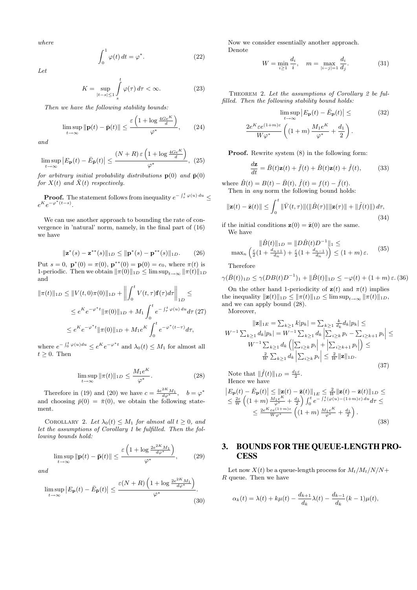where

$$
\int_0^1 \varphi(t) dt = \varphi^*.
$$
 (22)

Let

$$
K = \sup_{|t-s| \le 1} \int_s^t \varphi(\tau) \, d\tau < \infty. \tag{23}
$$

Then we have the following stability bounds:

$$
\limsup_{t \to \infty} \|\mathbf{p}(t) - \bar{\mathbf{p}}(t)\| \le \frac{\varepsilon \left(1 + \log \frac{4Ge^{K}}{d}\right)}{\varphi^*},\qquad(24)
$$

and

$$
\limsup_{t \to \infty} \left| E_{\mathbf{p}}(t) - \bar{E}_{\bar{\mathbf{p}}}(t) \right| \le \frac{(N+R)\,\varepsilon \left(1 + \log \frac{4Ge^{K}}{d}\right)}{\varphi^*},\tag{25}
$$

for arbitrary initial probability distributions  $p(0)$  and  $\bar{p}(0)$ for  $X(t)$  and  $\bar{X}(t)$  respectively.

**Proof.** The statement follows from inequality 
$$
e^{-\int_s^t \varphi(u) du} \le e^{K} e^{-\varphi^*(t-s)}
$$
.

We can use another approach to bounding the rate of convergence in 'natural' norm, namely, in the final part of (16) we have

$$
\|\mathbf{z}^*(s) - \mathbf{z}^{**}(s)\|_{1D} \le \|\mathbf{p}^*(s) - \mathbf{p}^{**}(s)\|_{1D}.
$$
 (26)

Put  $s = 0$ ,  $\mathbf{p}^*(0) = \pi(0)$ ,  $\mathbf{p}^{**}(0) = \mathbf{p}(0) = e_0$ , where  $\pi(t)$  is 1-periodic. Then we obtain  $\|\pi(0)\|_{1D} \le \limsup_{t\to\infty} \|\pi(t)\|_{1D}$ and

$$
\|\pi(t)\|_{1D} \le \|V(t,0)\pi(0)\|_{1D} + \left\|\int_0^t V(t,\tau)\mathbf{f}(\tau)d\tau\right\|_{1D} \le
$$
  

$$
\le e^{K}e^{-\varphi^*t}\|\pi(0)\|_{1D} + M_1 \int_0^t e^{-\int_{\tau}^t \varphi(u) du} d\tau (27)
$$
  

$$
\le e^{K}e^{-\varphi^*t}\|\pi(0)\|_{1D} + M_1 e^{K} \int_0^t e^{-\varphi^*(t-\tau)} d\tau,
$$

where  $e^{-\int_0^t \varphi(u)du} \leq e^{K}e^{-\varphi^*t}$  and  $\lambda_0(t) \leq M_1$  for almost all  $t \geq 0$ . Then

$$
\limsup_{t \to \infty} \|\pi(t)\|_{1D} \le \frac{M_1 e^K}{\varphi^*}.
$$
\n(28)

Therefore in (19) and (20) we have  $c = \frac{4e^{2K}M_1}{d\varphi^*}$ ,  $b = \varphi^*$ and choosing  $\bar{p}(0) = \bar{\pi}(0)$ , we obtain the following statement.

COROLLARY 2. Let  $\lambda_0(t) \leq M_1$  for almost all  $t \geq 0$ , and let the assumptions of Corollary 1 be fulfilled. Then the following bounds hold:

$$
\limsup_{t \to \infty} \|\mathbf{p}(t) - \bar{\mathbf{p}}(t)\| \le \frac{\varepsilon \left(1 + \log \frac{2e^{2K} M_1}{d\varphi^*}\right)}{\varphi^*},\tag{29}
$$

and

$$
\limsup_{t \to \infty} \left| E_{\mathbf{p}}(t) - \bar{E}_{\bar{\mathbf{p}}}(t) \right| \le \frac{\varepsilon (N+R) \left( 1 + \log \frac{2e^{2K} M_1}{d\varphi^*} \right)}{\varphi^*}.
$$
\n(30)

Now we consider essentially another approach. Denote

$$
W = \min_{i \ge 1} \frac{d_i}{i}, \quad m = \max_{|i-j|=1} \frac{d_i}{d_j}.
$$
 (31)

THEOREM 2. Let the assumptions of Corollary 2 be fulfilled. Then the following stability bound holds:

$$
\limsup_{t \to \infty} |E_{\mathbf{p}}(t) - \bar{E}_{\mathbf{p}}(t)| \leq \qquad (32)
$$

$$
\frac{2e^{K} \varepsilon e^{(1+m)\varepsilon}}{W \varphi^*} \left( (1+m) \frac{M_1 e^{K}}{\varphi^*} + \frac{d_1}{2} \right).
$$

Proof. Rewrite system (8) in the following form:

$$
\frac{d\mathbf{z}}{dt} = \bar{B}(t)\mathbf{z}(t) + \bar{f}(t) + \hat{B}(t)\mathbf{z}(t) + \hat{f}(t),\tag{33}
$$

where  $\hat{B}(t) = B(t) - \bar{B}(t)$ ,  $\hat{f}(t) = f(t) - \bar{f}(t)$ . Then in *any* norm the following bound holds:

$$
\|\mathbf{z}(t) - \bar{\mathbf{z}}(t)\| \le \int_0^t \|\bar{V}(t,\tau)\| (\|\hat{B}(\tau)\| \|\mathbf{z}(\tau)\| + \|\hat{f}(t)\|) d\tau,
$$
\n(34)

if the initial conditions  $\mathbf{z}(0) = \bar{\mathbf{z}}(0)$  are the same. We have

$$
\|\hat{B}(t)\|_{1D} = \|D\hat{B}(t)D^{-1}\|_{1} \le
$$
  
\n
$$
\max_{n} \left(\frac{\varepsilon}{2}(1 + \frac{d_{n+1}}{d_n}) + \frac{\varepsilon}{2}(1 + \frac{d_{n-1}}{d_n})\right) \le (1 + m)\varepsilon.
$$
 (35)

Therefore

 $\mathbf{r}$ 

$$
\gamma(\bar{B}(t))_{1D} \le \gamma(DB(t)D^{-1})_1 + \|\hat{B}(t)\|_{1D} \le -\varphi(t) + (1+m)\,\varepsilon.\,(36)
$$

On the other hand 1-periodicity of  $z(t)$  and  $\pi(t)$  implies the inequality  $||\mathbf{z}(t)||_{1D} \le ||\pi(t)||_{1D} \le \limsup_{t\to\infty} ||\pi(t)||_{1D}$ , and we can apply bound (28).

Moreover,

$$
||\mathbf{z}||_{1E} = \sum_{k\geq 1} k|p_k| = \sum_{k\geq 1} \frac{k}{d_k} d_k |p_k| \leq
$$
  
\n
$$
W^{-1} \sum_{k\geq 1} d_k |p_k| = W^{-1} \sum_{k\geq 1} d_k \left| \sum_{i\geq k} p_i - \sum_{i\geq k+1} p_i \right| \leq
$$
  
\n
$$
W^{-1} \sum_{k\geq 1} d_k \left( \left| \sum_{i\geq k} p_i \right| + \left| \sum_{i\geq k+1} p_i \right| \right) \leq
$$
  
\n
$$
\frac{2}{W} \sum_{k\geq 1} d_k \left| \sum_{i\geq k} p_i \right| \leq \frac{2}{W} ||\mathbf{z}||_{1D}.
$$
\n(37)

Note that  $\|\hat{f}(t)\|_{1D} = \frac{d_1\varepsilon}{2}$ . Hence we have

$$
\begin{split} \left| E_{\mathbf{p}}(t) - \bar{E}_{\mathbf{p}}(t) \right| &\leq \|\mathbf{z}(t) - \bar{\mathbf{z}}(t)\|_{1E} \leq \frac{2}{W} \|\mathbf{z}(t) - \bar{\mathbf{z}}(t)\|_{1D} \leq \\ &\leq \frac{2\varepsilon}{W} \left( (1+m) \frac{M_1 e^K}{\varphi^*} + \frac{d_1}{2} \right) \int_0^t e^{-\int_\tau^t (\varphi(u) - (1+m)\varepsilon) \, du} d\tau \leq \\ &\leq \frac{2e^K \varepsilon e^{(1+m)\varepsilon}}{W \varphi^*} \left( (1+m) \frac{M_1 e^K}{\varphi^*} + \frac{d_1}{2} \right). \end{split} \tag{38}
$$

# 3. BOUNDS FOR THE QUEUE-LENGTH PRO-**CESS**

Let now  $X(t)$  be a queue-length process for  $M_t/M_t/N/N$ + R queue. Then we have

$$
\alpha_k(t) = \lambda(t) + k\mu(t) - \frac{d_{k+1}}{d_k}\lambda(t) - \frac{d_{k-1}}{d_k}(k-1)\mu(t),
$$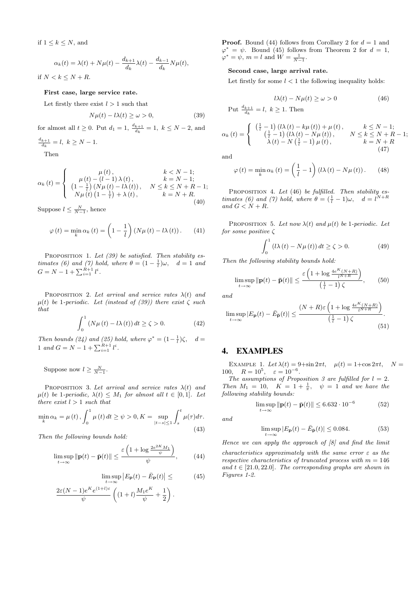if  $1 \leq k \leq N$ , and

$$
\alpha_k(t) = \lambda(t) + N\mu(t) - \frac{d_{k+1}}{d_k}\lambda(t) - \frac{d_{k-1}}{d_k}N\mu(t),
$$

if  $N < k \leq N + R$ .

#### First case, large service rate.

Let firstly there exist  $l > 1$  such that

$$
N\mu(t) - l\lambda(t) \ge \omega > 0,
$$
\n(39)

for almost all  $t \ge 0$ . Put  $d_1 = 1$ ,  $\frac{d_{k+1}}{d_k} = 1$ ,  $k \le N - 2$ , and  $\frac{d}{dx}$ +1

$$
\frac{a_{k+1}}{d_k} = l, \ k \ge N - 1.
$$

Then

$$
\alpha_{k}(t) = \begin{cases}\n\mu(t), & k < N - 1; \\
\mu(t) - (l - 1)\lambda(t), & k = N - 1; \\
(1 - \frac{1}{l})(N\mu(t) - l\lambda(t)), & N \leq k \leq N + R - 1; \\
N\mu(t)(1 - \frac{1}{l}) + \lambda(t), & k = N + R.\n\end{cases}
$$
\n(40)

Suppose  $l \leq \frac{N}{N-1}$ , hence

$$
\varphi(t) = \min_{k} \alpha_{k}(t) = \left(1 - \frac{1}{l}\right) \left(N\mu(t) - l\lambda(t)\right). \tag{41}
$$

PROPOSITION 1. Let  $(39)$  be satisfied. Then stability estimates (6) and (7) hold, where  $\theta = (1 - \frac{1}{l})\omega$ ,  $d = 1$  and  $G = N - 1 + \sum_{i=1}^{R+1} l^i$ .

PROPOSITION 2. Let arrival and service rates  $\lambda(t)$  and  $\mu(t)$  be 1-periodic. Let (instead of (39)) there exist  $\zeta$  such that

$$
\int_0^1 \left( N\mu\left(t\right) - l\lambda\left(t\right) \right) dt \ge \zeta > 0. \tag{42}
$$

Then bounds (24) and (25) hold, where  $\varphi^* = (1 - \frac{1}{l})\zeta$ ,  $d =$ 1 and  $G = N - 1 + \sum_{i=1}^{R+1} l^i$ .

Suppose now  $l \geq \frac{N}{N-1}$ .

PROPOSITION 3. Let arrival and service rates  $\lambda(t)$  and  $\mu(t)$  be 1-periodic,  $\lambda(t) \leq M_1$  for almost all  $t \in [0,1]$ . Let there exist  $l > 1$  such that

$$
\min_{k} \alpha_{k} = \mu(t), \int_{0}^{1} \mu(t) dt \ge \psi > 0, K = \sup_{|t-s| \le 1} \int_{s}^{t} \mu(\tau) d\tau.
$$
\n(43)

Then the following bounds hold:

$$
\limsup_{t \to \infty} \|\mathbf{p}(t) - \bar{\mathbf{p}}(t)\| \le \frac{\varepsilon \left(1 + \log \frac{2e^{2K}M_1}{\psi}\right)}{\psi},\tag{44}
$$

$$
\limsup_{t \to \infty} |E_{\mathbf{p}}(t) - \bar{E}_{\mathbf{p}}(t)| \leq (45)
$$

$$
\frac{2\varepsilon (N-1)e^{K}e^{(1+l)\varepsilon}}{\psi}\left((1+l)\frac{M_{1}e^{K}}{\psi}+\frac{1}{2}\right).
$$

**Proof.** Bound (44) follows from Corollary 2 for  $d = 1$  and  $\varphi^* = \psi$ . Bound (45) follows from Theorem 2 for  $d = 1$ ,  $\varphi^* = \psi, m = l \text{ and } W = \frac{1}{N-1}.$ 

## Second case, large arrival rate.

Let firstly for some  $l < 1$  the following inequality holds:

$$
l\lambda(t) - N\mu(t) \ge \omega > 0 \tag{46}
$$

Put  $\frac{d_{k+1}}{d_k} = l, k \ge 1$ . Then

$$
\alpha_{k}(t) = \begin{cases}\n\left(\frac{1}{l} - 1\right) (l\lambda(t) - k\mu(t)) + \mu(t), & k \leq N - 1; \\
\left(\frac{1}{l} - 1\right) (l\lambda(t) - N\mu(t)), & N \leq k \leq N + R - 1; \\
\lambda(t) - N\left(\frac{1}{l} - 1\right)\mu(t), & k = N + R\n\end{cases}
$$
\n(47)

and

$$
\varphi(t) = \min_{k} \alpha_{k}(t) = \left(\frac{1}{l} - 1\right) \left(l\lambda(t) - N\mu(t)\right). \tag{48}
$$

PROPOSITION 4. Let (46) be fulfilled. Then stability estimates (6) and (7) hold, where  $\theta = (\frac{1}{l} - 1)\omega$ ,  $d = l^{N+R}$ and  $G < N + R$ .

PROPOSITION 5. Let now  $\lambda(t)$  and  $\mu(t)$  be 1-periodic. Let for some positive  $\zeta$ 

$$
\int_0^1 (l\lambda(t) - N\mu(t)) dt \ge \zeta > 0.
$$
 (49)

Then the following stability bounds hold:

$$
\limsup_{t \to \infty} \|\mathbf{p}(t) - \bar{\mathbf{p}}(t)\| \le \frac{\varepsilon \left(1 + \log \frac{4e^{K}(N+R)}{l^{N+R}}\right)}{\left(\frac{1}{l} - 1\right)\zeta},\qquad(50)
$$

and

$$
\limsup_{t \to \infty} |E_{\mathbf{p}}(t) - \bar{E}_{\bar{\mathbf{p}}}(t)| \le \frac{(N+R)\varepsilon \left(1 + \log \frac{4e^{K}(N+R)}{l^{N+R}}\right)}{\left(\frac{1}{l} - 1\right)\zeta}.
$$
\n(51)

# 4. EXAMPLES

EXAMPLE 1. Let  $\lambda(t) = 9 + \sin 2\pi t$ ,  $\mu(t) = 1 + \cos 2\pi t$ ,  $N =$ 100,  $R = 10^5$ ,  $\varepsilon = 10^{-6}$ .

The assumptions of Proposition 3 are fulfilled for  $l = 2$ . Then  $M_1 = 10$ ,  $K = 1 + \frac{1}{\pi}$ ,  $\psi = 1$  and we have the following stability bounds:

$$
\limsup_{t \to \infty} \|\mathbf{p}(t) - \bar{\mathbf{p}}(t)\| \le 6.632 \cdot 10^{-6}
$$
 (52)

and

$$
\limsup_{t \to \infty} |E_{\mathbf{p}}(t) - \bar{E}_{\bar{\mathbf{p}}}(t)| \le 0.084. \tag{53}
$$

Hence we can apply the approach of  $\lbrack 8 \rbrack$  and find the limit

characteristics approximately with the same error  $\varepsilon$  as the respective characteristics of truncated process with  $m = 146$ and  $t \in [21.0, 22.0]$ . The corresponding graphs are shown in Figures 1-2.